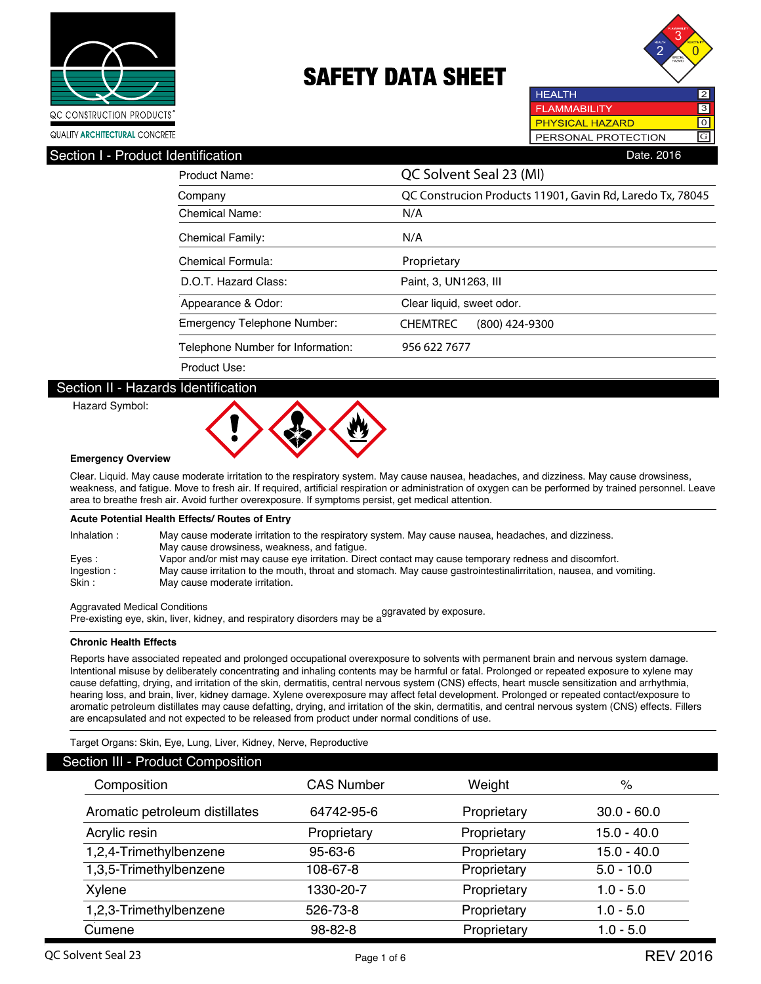



**HEALTH**  $\overline{2}$ **FLAMMABILITY** 3 **PHYSICAL HAZARD** नि PERSONAL PROTECTION G

### Section I - Product Identification **Date. 2016** Contract in the Section Date. 2016

| Product Name:                     | QC Solvent Seal 23 (MI)                                   |  |  |
|-----------------------------------|-----------------------------------------------------------|--|--|
| Company                           | QC Construcion Products 11901, Gavin Rd, Laredo Tx, 78045 |  |  |
| Chemical Name:                    | N/A                                                       |  |  |
| <b>Chemical Family:</b>           | N/A                                                       |  |  |
| Chemical Formula:                 | Proprietary                                               |  |  |
| D.O.T. Hazard Class:              | Paint, 3, UN1263, III                                     |  |  |
| Appearance & Odor:                | Clear liquid, sweet odor.                                 |  |  |
| Emergency Telephone Number:       | <b>CHEMTREC</b><br>$(800)$ 424-9300                       |  |  |
| Telephone Number for Information: | 956 622 7677                                              |  |  |
| Product Use:                      |                                                           |  |  |

#### Section II - Hazards Identification

Hazard Symbol:



#### **Emergency Overview**

Clear. Liquid. May cause moderate irritation to the respiratory system. May cause nausea, headaches, and dizziness. May cause drowsiness, weakness, and fatigue. Move to fresh air. If required, artificial respiration or administration of oxygen can be performed by trained personnel. Leave area to breathe fresh air. Avoid further overexposure. If symptoms persist, get medical attention.

#### **Acute Potential Health Effects/ Routes of Entry**

| Inhalation:          | May cause moderate irritation to the respiratory system. May cause nausea, headaches, and dizziness.<br>May cause drowsiness, weakness, and fatique. |
|----------------------|------------------------------------------------------------------------------------------------------------------------------------------------------|
| Eves :               | Vapor and/or mist may cause eye irritation. Direct contact may cause temporary redness and discomfort.                                               |
| Ingestion:<br>Skin : | May cause irritation to the mouth, throat and stomach. May cause gastrointestinalirritation, nausea, and vomiting.<br>May cause moderate irritation. |

Aggravated Medical Conditions Pre-existing eye, skin, liver, kidney, and respiratory disorders may be aggravated by exposure.

#### **Chronic Health Effects**

Reports have associated repeated and prolonged occupational overexposure to solvents with permanent brain and nervous system damage. Intentional misuse by deliberately concentrating and inhaling contents may be harmful or fatal. Prolonged or repeated exposure to xylene may cause defatting, drying, and irritation of the skin, dermatitis, central nervous system (CNS) effects, heart muscle sensitization and arrhythmia, hearing loss, and brain, liver, kidney damage. Xylene overexposure may affect fetal development. Prolonged or repeated contact/exposure to aromatic petroleum distillates may cause defatting, drying, and irritation of the skin, dermatitis, and central nervous system (CNS) effects. Fillers are encapsulated and not expected to be released from product under normal conditions of use.

Target Organs: Skin, Eye, Lung, Liver, Kidney, Nerve, Reproductive

| <b>Section III - Product Composition</b> |                   |             |               |  |  |
|------------------------------------------|-------------------|-------------|---------------|--|--|
| Composition                              | <b>CAS Number</b> | Weight      | $\%$          |  |  |
| Aromatic petroleum distillates           | 64742-95-6        | Proprietary | $30.0 - 60.0$ |  |  |
| Acrylic resin                            | Proprietary       | Proprietary | $15.0 - 40.0$ |  |  |
| 1,2,4-Trimethylbenzene                   | $95 - 63 - 6$     | Proprietary | $15.0 - 40.0$ |  |  |
| 1,3,5-Trimethylbenzene                   | 108-67-8          | Proprietary | $5.0 - 10.0$  |  |  |
| Xylene                                   | 1330-20-7         | Proprietary | $1.0 - 5.0$   |  |  |
| 1,2,3-Trimethylbenzene                   | 526-73-8          | Proprietary | $1.0 - 5.0$   |  |  |
| Cumene                                   | 98-82-8           | Proprietary | $1.0 - 5.0$   |  |  |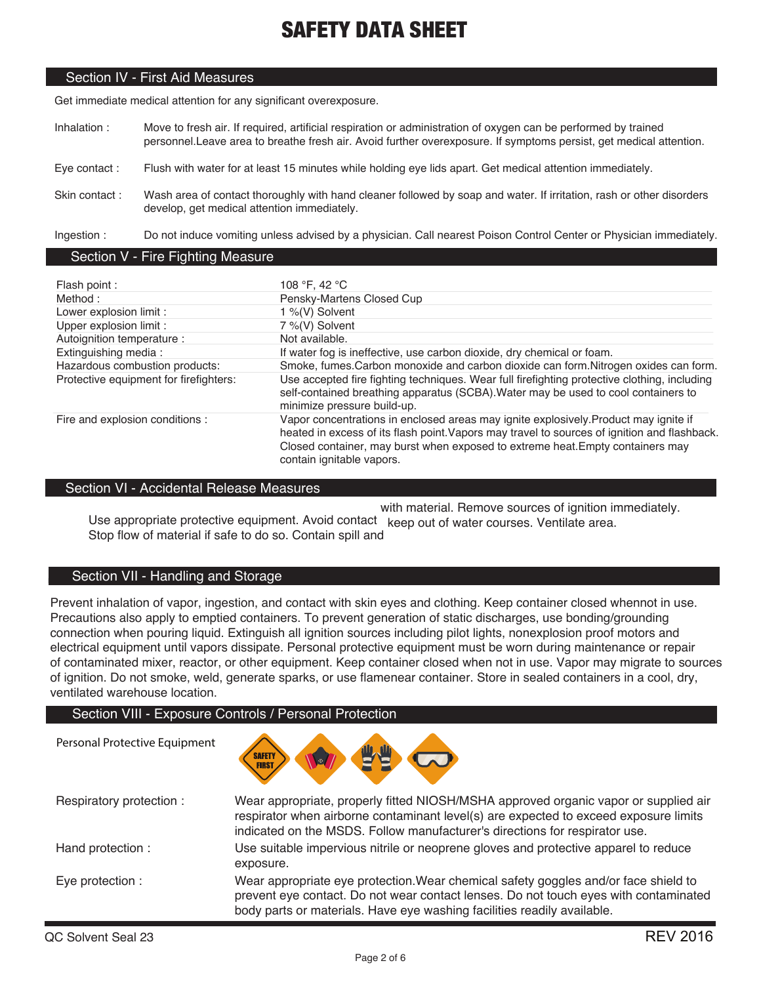### Section IV - First Aid Measures

Get immediate medical attention for any significant overexposure.

- Inhalation : Move to fresh air. If required, artificial respiration or administration of oxygen can be performed by trained personnel.Leave area to breathe fresh air. Avoid further overexposure. If symptoms persist, get medical attention.
- Eye contact : Flush with water for at least 15 minutes while holding eye lids apart. Get medical attention immediately.
- Skin contact : Wash area of contact thoroughly with hand cleaner followed by soap and water. If irritation, rash or other disorders develop, get medical attention immediately.

Ingestion : Do not induce vomiting unless advised by a physician. Call nearest Poison Control Center or Physician immediately.

#### Section V - Fire Fighting Measure

| Flash point :                          | 108 °F, 42 °C                                                                                                                                                                                                                                                                                       |
|----------------------------------------|-----------------------------------------------------------------------------------------------------------------------------------------------------------------------------------------------------------------------------------------------------------------------------------------------------|
| Method:                                | Pensky-Martens Closed Cup                                                                                                                                                                                                                                                                           |
| Lower explosion limit :                | 1 %(V) Solvent                                                                                                                                                                                                                                                                                      |
| Upper explosion limit :                | 7 %(V) Solvent                                                                                                                                                                                                                                                                                      |
| Autoignition temperature :             | Not available.                                                                                                                                                                                                                                                                                      |
| Extinguishing media:                   | If water fog is ineffective, use carbon dioxide, dry chemical or foam.                                                                                                                                                                                                                              |
| Hazardous combustion products:         | Smoke, fumes. Carbon monoxide and carbon dioxide can form. Nitrogen oxides can form.                                                                                                                                                                                                                |
| Protective equipment for firefighters: | Use accepted fire fighting techniques. Wear full firefighting protective clothing, including<br>self-contained breathing apparatus (SCBA). Water may be used to cool containers to<br>minimize pressure build-up.                                                                                   |
| Fire and explosion conditions :        | Vapor concentrations in enclosed areas may ignite explosively. Product may ignite if<br>heated in excess of its flash point. Vapors may travel to sources of ignition and flashback.<br>Closed container, may burst when exposed to extreme heat. Empty containers may<br>contain ignitable vapors. |

### Section VI - Accidental Release Measures

with material. Remove sources of ignition immediately.

Use appropriate protective equipment. Avoid contact keep out of water courses. Ventilate area. Stop flow of material if safe to do so. Contain spill and

### Section VII - Handling and Storage

Prevent inhalation of vapor, ingestion, and contact with skin eyes and clothing. Keep container closed whennot in use. Precautions also apply to emptied containers. To prevent generation of static discharges, use bonding/grounding connection when pouring liquid. Extinguish all ignition sources including pilot lights, nonexplosion proof motors and electrical equipment until vapors dissipate. Personal protective equipment must be worn during maintenance or repair of contaminated mixer, reactor, or other equipment. Keep container closed when not in use. Vapor may migrate to sources of ignition. Do not smoke, weld, generate sparks, or use flamenear container. Store in sealed containers in a cool, dry, ventilated warehouse location.

#### Section VIII - Exposure Controls / Personal Protection



| Respiratory protection: | Wear appropriate, properly fitted NIOSH/MSHA approved organic vapor or supplied air<br>respirator when airborne contaminant level(s) are expected to exceed exposure limits<br>indicated on the MSDS. Follow manufacturer's directions for respirator use. |
|-------------------------|------------------------------------------------------------------------------------------------------------------------------------------------------------------------------------------------------------------------------------------------------------|
| Hand protection :       | Use suitable impervious nitrile or neoprene gloves and protective apparel to reduce<br>exposure.                                                                                                                                                           |
| Eye protection :        | Wear appropriate eye protection. Wear chemical safety goggles and/or face shield to<br>prevent eye contact. Do not wear contact lenses. Do not touch eyes with contaminated<br>body parts or materials. Have eye washing facilities readily available.     |

Personal Protective Equipment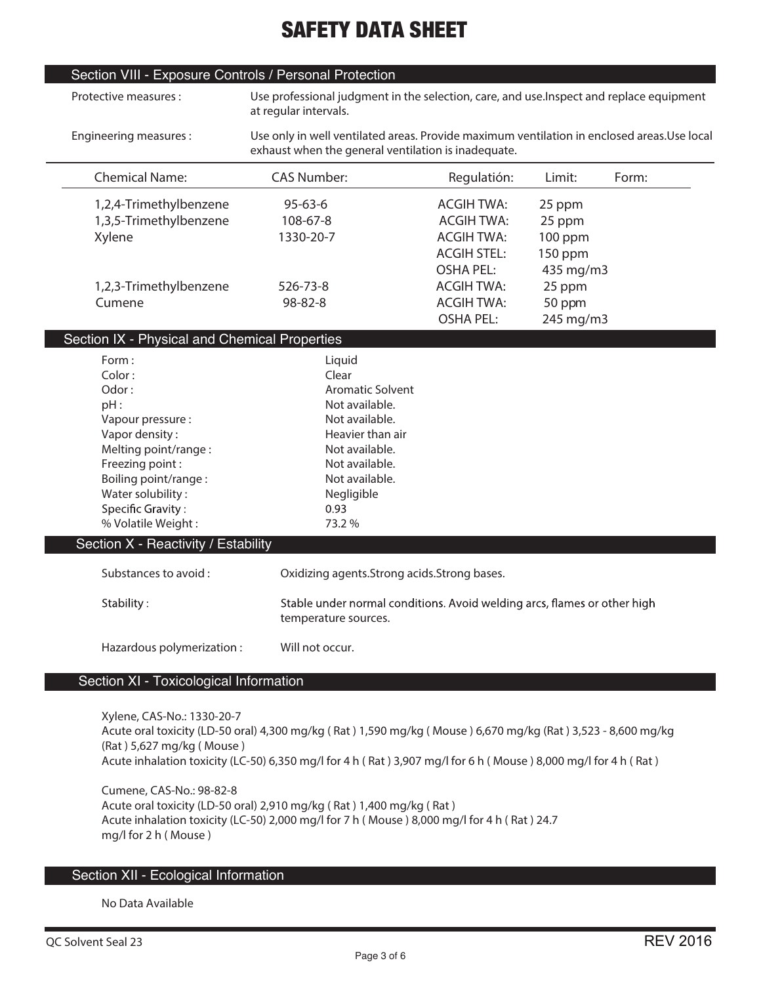|                                                     |                                                                                            | Use professional judgment in the selection, care, and use. Inspect and replace equipment                                                                                                 |
|-----------------------------------------------------|--------------------------------------------------------------------------------------------|------------------------------------------------------------------------------------------------------------------------------------------------------------------------------------------|
| exhaust when the general ventilation is inadequate. | Use only in well ventilated areas. Provide maximum ventilation in enclosed areas.Use local |                                                                                                                                                                                          |
| Regulatión:                                         | Limit:                                                                                     | Form:                                                                                                                                                                                    |
| <b>ACGIH TWA:</b>                                   | 25 ppm                                                                                     |                                                                                                                                                                                          |
| <b>ACGIH TWA:</b>                                   | 25 ppm                                                                                     |                                                                                                                                                                                          |
| <b>ACGIH TWA:</b>                                   | $100$ ppm                                                                                  |                                                                                                                                                                                          |
| <b>ACGIH STEL:</b>                                  | 150 ppm                                                                                    |                                                                                                                                                                                          |
| <b>OSHA PEL:</b>                                    | 435 mg/m3                                                                                  |                                                                                                                                                                                          |
| <b>ACGIH TWA:</b>                                   | 25 ppm                                                                                     |                                                                                                                                                                                          |
| <b>ACGIH TWA:</b>                                   | 50 ppm                                                                                     |                                                                                                                                                                                          |
| <b>OSHA PEL:</b>                                    | 245 mg/m3                                                                                  |                                                                                                                                                                                          |
|                                                     |                                                                                            |                                                                                                                                                                                          |
|                                                     |                                                                                            |                                                                                                                                                                                          |
| Oxidizing agents. Strong acids. Strong bases.       |                                                                                            |                                                                                                                                                                                          |
|                                                     |                                                                                            |                                                                                                                                                                                          |
|                                                     |                                                                                            |                                                                                                                                                                                          |
|                                                     |                                                                                            |                                                                                                                                                                                          |
|                                                     |                                                                                            |                                                                                                                                                                                          |
|                                                     |                                                                                            | Stable under normal conditions. Avoid welding arcs, flames or other high<br>Acute oral toxicity (LD-50 oral) 4,300 mg/kg (Rat) 1,590 mg/kg (Mouse) 6,670 mg/kg (Rat) 3,523 - 8,600 mg/kg |

**(Rat ) 5,627 mg/kg ( Mouse )**

**Acute inhalation toxicity (LC-50) 6,350 mg/l for 4 h ( Rat ) 3,907 mg/l for 6 h ( Mouse ) 8,000 mg/l for 4 h ( Rat )**

**Cumene, CAS-No.: 98-82-8 Acute oral toxicity (LD-50 oral) 2,910 mg/kg ( Rat ) 1,400 mg/kg ( Rat ) Acute inhalation toxicity (LC-50) 2,000 mg/l for 7 h ( Mouse ) 8,000 mg/l for 4 h ( Rat ) 24.7 mg/l for 2 h ( Mouse )**

### Section XII - Ecological Information

**No Data Available**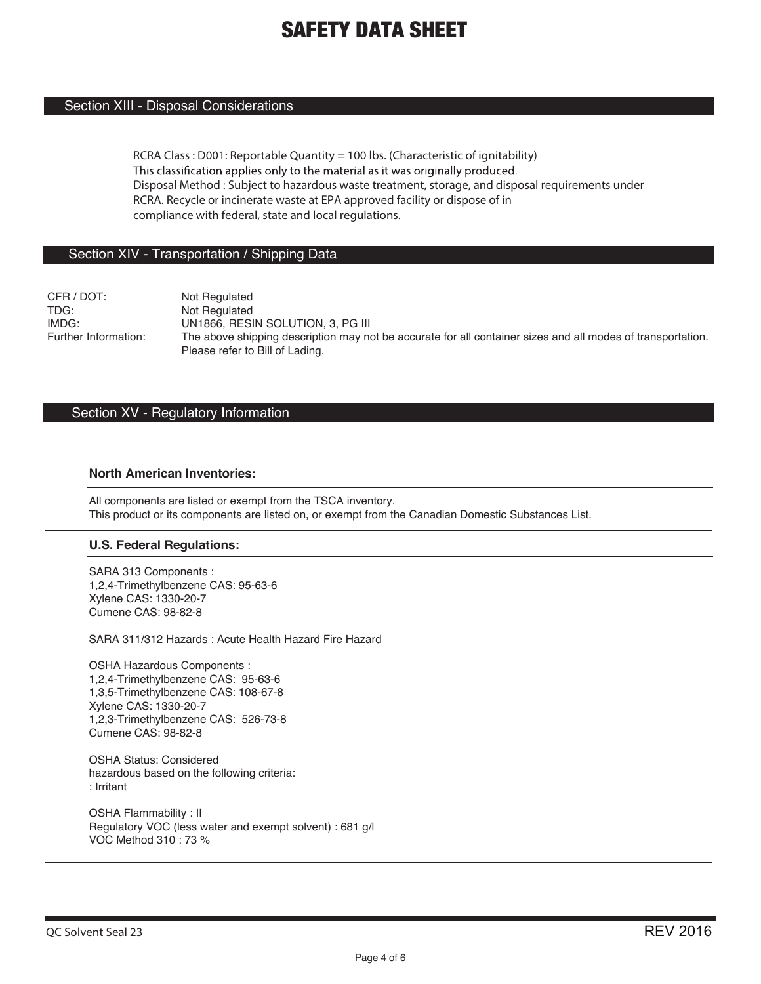### Section XIII - Disposal Considerations

**RCRA Class : D001: Reportable Quantity = 100 lbs. (Characteristic of ignitability)** This classification applies only to the material as it was originally produced. **Disposal Method : Subject to hazardous waste treatment, storage, and disposal requirements under RCRA. Recycle or incinerate waste at EPA approved facility or dispose of in compliance with federal, state and local regulations.**

#### Section XIV - Transportation / Shipping Data

CFR / DOT: Not Regulated<br>TDG: Not Regulated Not Regulated IMDG: UN1866, RESIN SOLUTION, 3, PG III<br>Further Information: The above shipping description may no The above shipping description may not be accurate for all container sizes and all modes of transportation. Please refer to Bill of Lading.

#### Section XV - Regulatory Information

#### **North American Inventories:**

All components are listed or exempt from the TSCA inventory. This product or its components are listed on, or exempt from the Canadian Domestic Substances List.

#### **U.S. Federal Regulations:**

SARA 313 Components : 1,2,4-Trimethylbenzene CAS: 95-63-6 Xylene CAS: 1330-20-7 Cumene CAS: 98-82-8

SARA 311/312 Hazards : Acute Health Hazard Fire Hazard

OSHA Hazardous Components : 1,2,4-Trimethylbenzene CAS: 95-63-6 1,3,5-Trimethylbenzene CAS: 108-67-8 Xylene CAS: 1330-20-7 1,2,3-Trimethylbenzene CAS: 526-73-8 Cumene CAS: 98-82-8

OSHA Status: Considered hazardous based on the following criteria: : Irritant

OSHA Flammability : II Regulatory VOC (less water and exempt solvent) : 681 g/l VOC Method 310 : 73 %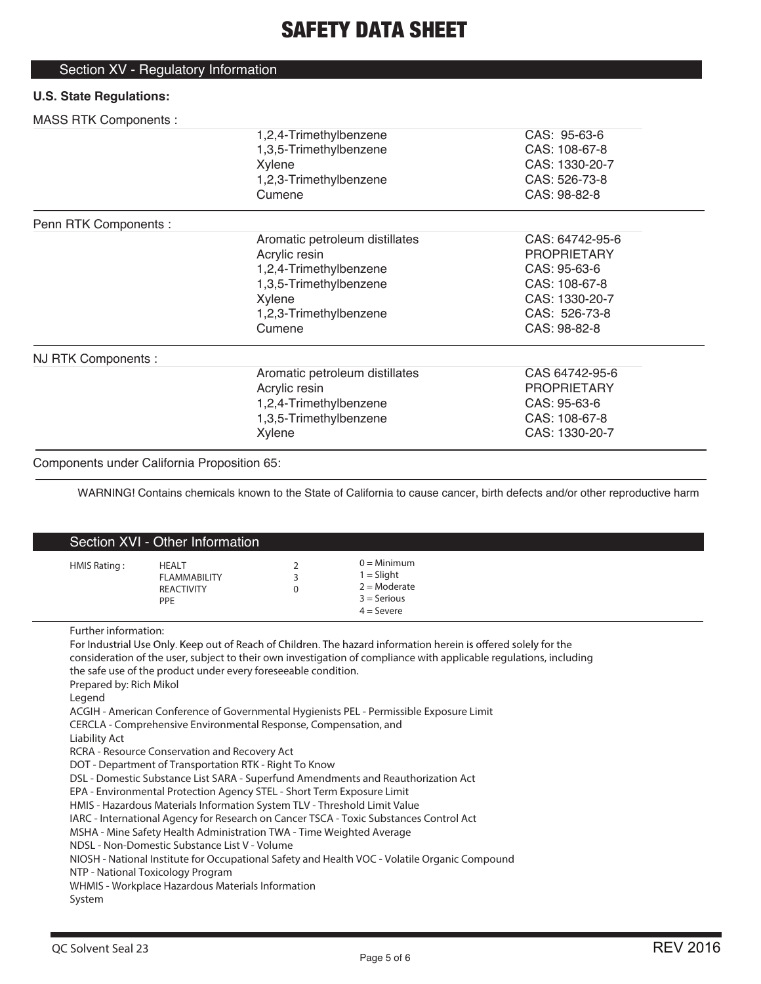## Section XV - Regulatory Information

### **U.S. State Regulations:**

### MASS RTK Components :

| 1                     |                                |                    |  |
|-----------------------|--------------------------------|--------------------|--|
|                       | 1,2,4-Trimethylbenzene         | CAS: 95-63-6       |  |
|                       | 1,3,5-Trimethylbenzene         | CAS: 108-67-8      |  |
|                       | Xylene                         | CAS: 1330-20-7     |  |
|                       | 1,2,3-Trimethylbenzene         | CAS: 526-73-8      |  |
|                       | Cumene                         | CAS: 98-82-8       |  |
| Penn RTK Components : |                                |                    |  |
|                       | Aromatic petroleum distillates | CAS: 64742-95-6    |  |
|                       | Acrylic resin                  | <b>PROPRIETARY</b> |  |
|                       | 1,2,4-Trimethylbenzene         | CAS: 95-63-6       |  |
|                       | 1,3,5-Trimethylbenzene         | CAS: 108-67-8      |  |
|                       | Xylene                         | CAS: 1330-20-7     |  |
|                       | 1,2,3-Trimethylbenzene         | CAS: 526-73-8      |  |
|                       | Cumene                         | CAS: 98-82-8       |  |
| NJ RTK Components :   |                                |                    |  |
|                       | Aromatic petroleum distillates | CAS 64742-95-6     |  |
|                       | Acrylic resin                  | <b>PROPRIETARY</b> |  |
|                       | 1,2,4-Trimethylbenzene         | CAS: 95-63-6       |  |
|                       | 1,3,5-Trimethylbenzene         | CAS: 108-67-8      |  |
|                       | Xylene                         | CAS: 1330-20-7     |  |
|                       |                                |                    |  |

#### Components under California Proposition 65:

I

WARNING! Contains chemicals known to the State of California to cause cancer, birth defects and/or other reproductive harm

| Section XVI - Other Information                                                                                                  |                                                                                                                                                                                                                                                                                                                                                                                                                                                                                                                                                                                                                                                                                                                                                                   |                    |                                                                                                                                                                                                                                                                                                                                                                                                                                   |  |
|----------------------------------------------------------------------------------------------------------------------------------|-------------------------------------------------------------------------------------------------------------------------------------------------------------------------------------------------------------------------------------------------------------------------------------------------------------------------------------------------------------------------------------------------------------------------------------------------------------------------------------------------------------------------------------------------------------------------------------------------------------------------------------------------------------------------------------------------------------------------------------------------------------------|--------------------|-----------------------------------------------------------------------------------------------------------------------------------------------------------------------------------------------------------------------------------------------------------------------------------------------------------------------------------------------------------------------------------------------------------------------------------|--|
| HMIS Rating:                                                                                                                     | <b>HEALT</b><br><b>FLAMMABILITY</b><br><b>REACTIVITY</b><br>PPE                                                                                                                                                                                                                                                                                                                                                                                                                                                                                                                                                                                                                                                                                                   | 2<br>3<br>$\Omega$ | $0 =$ Minimum<br>$1 = S$ light<br>$2 =$ Moderate<br>$3 =$ Serious<br>$4 =$ Severe                                                                                                                                                                                                                                                                                                                                                 |  |
| Further information:<br>Prepared by: Rich Mikol<br>Legend<br><b>Liability Act</b><br>NTP - National Toxicology Program<br>System | the safe use of the product under every foreseeable condition.<br>CERCLA - Comprehensive Environmental Response, Compensation, and<br>RCRA - Resource Conservation and Recovery Act<br>DOT - Department of Transportation RTK - Right To Know<br>DSL - Domestic Substance List SARA - Superfund Amendments and Reauthorization Act<br>EPA - Environmental Protection Agency STEL - Short Term Exposure Limit<br>HMIS - Hazardous Materials Information System TLV - Threshold Limit Value<br>IARC - International Agency for Research on Cancer TSCA - Toxic Substances Control Act<br>MSHA - Mine Safety Health Administration TWA - Time Weighted Average<br>NDSL - Non-Domestic Substance List V - Volume<br>WHMIS - Workplace Hazardous Materials Information |                    | For Industrial Use Only. Keep out of Reach of Children. The hazard information herein is offered solely for the<br>consideration of the user, subject to their own investigation of compliance with applicable regulations, including<br>ACGIH - American Conference of Governmental Hygienists PEL - Permissible Exposure Limit<br>NIOSH - National Institute for Occupational Safety and Health VOC - Volatile Organic Compound |  |